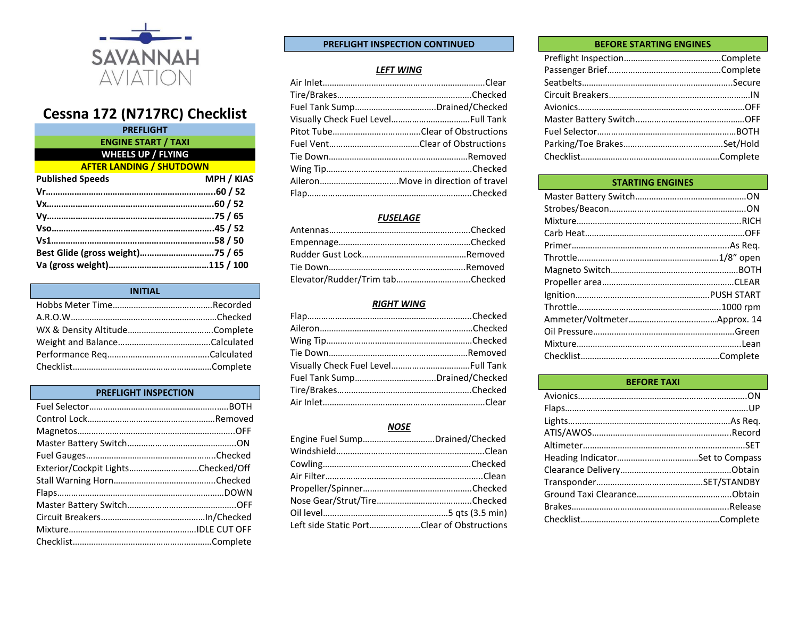

# **Cessna 172 (N717RC) Checklist**

| <b>PREFLIGHT</b>                 |                   |
|----------------------------------|-------------------|
| <b>ENGINE START / TAXI</b>       |                   |
| <b>WHEELS UP / FLYING</b>        |                   |
| <b>AFTER LANDING / SHUTDOWN</b>  |                   |
| <b>Published Speeds</b>          | <b>MPH / KIAS</b> |
|                                  |                   |
|                                  |                   |
|                                  |                   |
|                                  |                   |
|                                  |                   |
| Best Glide (gross weight)75 / 65 |                   |
|                                  |                   |
|                                  |                   |

| <b>INITIAL</b> |  |
|----------------|--|
|                |  |
|                |  |
|                |  |
|                |  |
|                |  |
|                |  |

## **PREFLIGHT INSPECTION**

| Exterior/Cockpit LightsChecked/Off |  |
|------------------------------------|--|
|                                    |  |
|                                    |  |
|                                    |  |
|                                    |  |
|                                    |  |
|                                    |  |

#### **PREFLIGHT INSPECTION CONTINUED**

## *LEFT WING*

| Fuel Tank SumpDrained/Checked |
|-------------------------------|
|                               |
|                               |
|                               |
|                               |
|                               |
|                               |
|                               |

## *FUSELAGE*

| Elevator/Rudder/Trim tabChecked |  |
|---------------------------------|--|

#### *RIGHT WING*

## *NOSE*

| Engine Fuel SumpDrained/Checked            |  |
|--------------------------------------------|--|
|                                            |  |
|                                            |  |
|                                            |  |
|                                            |  |
|                                            |  |
|                                            |  |
| Left side Static PortClear of Obstructions |  |

#### **BEFORE STARTING ENGINES**

## **STARTING ENGINES**

# **BEFORE TAXI**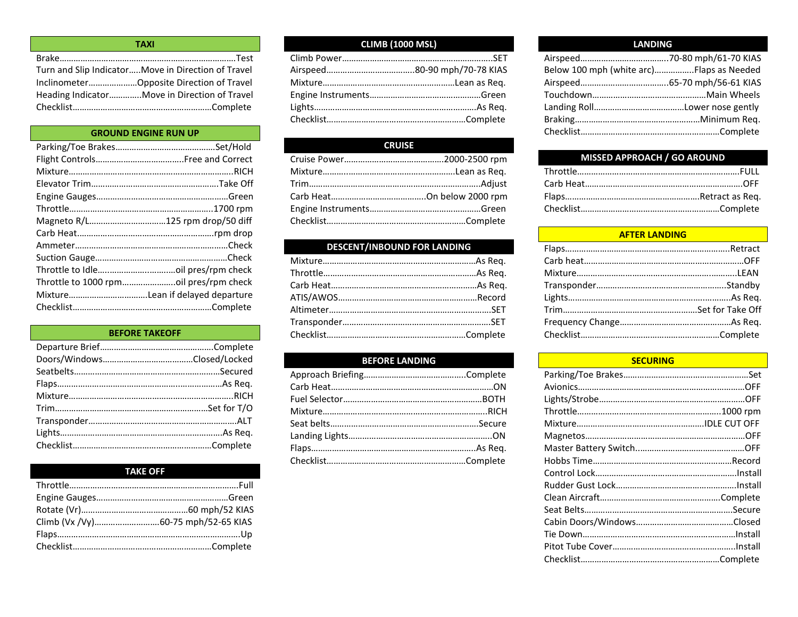| <b>TAXI</b>                                         |
|-----------------------------------------------------|
|                                                     |
| Turn and Slip Indicator Move in Direction of Travel |
| InclinometerOpposite Direction of Travel            |
| Heading IndicatorMove in Direction of Travel        |
|                                                     |

## **GROUND ENGINE RUN UP**

# **BEFORE TAKEOFF** Departure Brief………………………………………….Complete Doors/Windows…………………………………Closed/Locked Seatbelts………………………………………………………Secured Flaps……………………………………………..………………As Req. Mixture……………………………………………………………..RICH Trim…………………………………………………………Set for T/O Transponder……………………………………………………….ALT Lights…………………………………………………………….As Req. Checklist……………………………………………………Complete

| <b>TAKE OFF</b> |  |
|-----------------|--|
|                 |  |
|                 |  |
|                 |  |
|                 |  |
|                 |  |
|                 |  |

# **CLIMB (1000 MSL)**

# **CRUISE**

# **DESCENT/INBOUND FOR LANDING**

# **BEFORE LANDING**

## **LANDING**

| Below 100 mph (white arc)Flaps as Needed |
|------------------------------------------|
|                                          |
|                                          |
|                                          |
|                                          |
|                                          |
|                                          |

# **MISSED APPROACH / GO AROUND**

## **AFTER LANDING**

#### **SECURING**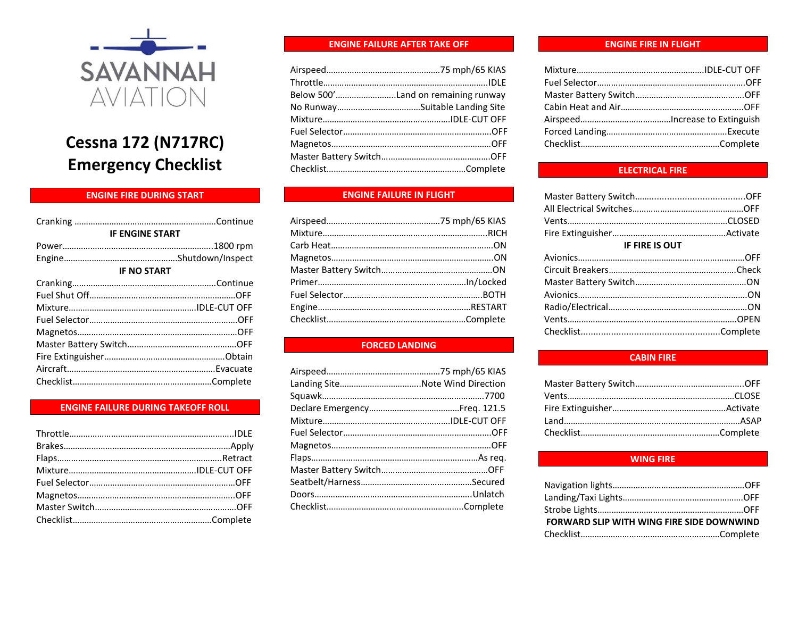

# **Cessna 172 (N717RC) Emergency Checklist**

# **ENGINE FIRE DURING START**

| <b>IF ENGINE START</b> |  |
|------------------------|--|
|                        |  |
|                        |  |
| <b>IF NO START</b>     |  |
|                        |  |
|                        |  |
|                        |  |
|                        |  |
|                        |  |
|                        |  |
|                        |  |
|                        |  |
|                        |  |

# **ENGINE FAILURE DURING TAKEOFF ROLL**

## **ENGINE FAILURE AFTER TAKE OFF**

| Below 500'Land on remaining runway |
|------------------------------------|
|                                    |
|                                    |
|                                    |
|                                    |
|                                    |
|                                    |

# **ENGINE FAILURE IN FLIGHT**

## **FORCED LANDING**

| Landing SiteNote Wind Direction |  |
|---------------------------------|--|
|                                 |  |
|                                 |  |
|                                 |  |
|                                 |  |
|                                 |  |
|                                 |  |
|                                 |  |
|                                 |  |
|                                 |  |
|                                 |  |

#### **ENGINE FIRE IN FLIGHT**

## **ELECTRICAL FIRE**

| <b>IF FIRE IS OUT</b> |  |
|-----------------------|--|
|                       |  |
|                       |  |
|                       |  |
|                       |  |
|                       |  |
|                       |  |
|                       |  |
|                       |  |

#### **CABIN FIRE**

## **WING FIRE**

| FORWARD SLIP WITH WING FIRE SIDE DOWNWIND |  |
|-------------------------------------------|--|
|                                           |  |